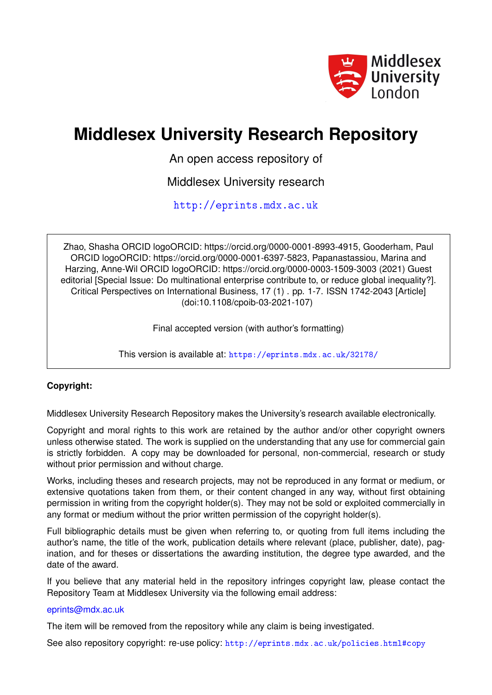

# **Middlesex University Research Repository**

An open access repository of

Middlesex University research

<http://eprints.mdx.ac.uk>

Zhao, Shasha ORCID logoORCID: https://orcid.org/0000-0001-8993-4915, Gooderham, Paul ORCID logoORCID: https://orcid.org/0000-0001-6397-5823, Papanastassiou, Marina and Harzing, Anne-Wil ORCID logoORCID: https://orcid.org/0000-0003-1509-3003 (2021) Guest editorial [Special Issue: Do multinational enterprise contribute to, or reduce global inequality?]. Critical Perspectives on International Business, 17 (1) . pp. 1-7. ISSN 1742-2043 [Article] (doi:10.1108/cpoib-03-2021-107)

Final accepted version (with author's formatting)

This version is available at: <https://eprints.mdx.ac.uk/32178/>

## **Copyright:**

Middlesex University Research Repository makes the University's research available electronically.

Copyright and moral rights to this work are retained by the author and/or other copyright owners unless otherwise stated. The work is supplied on the understanding that any use for commercial gain is strictly forbidden. A copy may be downloaded for personal, non-commercial, research or study without prior permission and without charge.

Works, including theses and research projects, may not be reproduced in any format or medium, or extensive quotations taken from them, or their content changed in any way, without first obtaining permission in writing from the copyright holder(s). They may not be sold or exploited commercially in any format or medium without the prior written permission of the copyright holder(s).

Full bibliographic details must be given when referring to, or quoting from full items including the author's name, the title of the work, publication details where relevant (place, publisher, date), pagination, and for theses or dissertations the awarding institution, the degree type awarded, and the date of the award.

If you believe that any material held in the repository infringes copyright law, please contact the Repository Team at Middlesex University via the following email address:

#### [eprints@mdx.ac.uk](mailto:eprints@mdx.ac.uk)

The item will be removed from the repository while any claim is being investigated.

See also repository copyright: re-use policy: <http://eprints.mdx.ac.uk/policies.html#copy>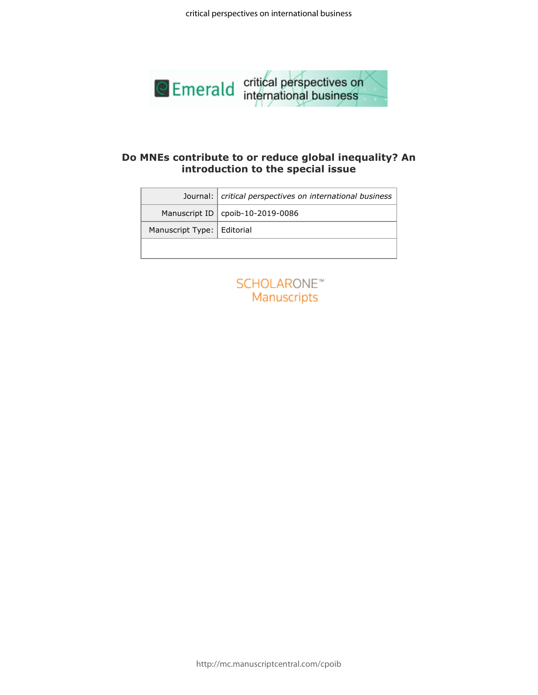

## **Do MNEs contribute to or reduce global inequality? An introduction to the special issue**

|                              | introduction to the special issue               |
|------------------------------|-------------------------------------------------|
| Journal:                     | critical perspectives on international business |
| Manuscript ID                | cpoib-10-2019-0086                              |
| Manuscript Type:   Editorial |                                                 |
|                              |                                                 |
|                              | <b>SCHOLARONE™</b><br>Manuscripts               |
|                              |                                                 |
|                              |                                                 |
|                              |                                                 |
|                              |                                                 |
|                              |                                                 |

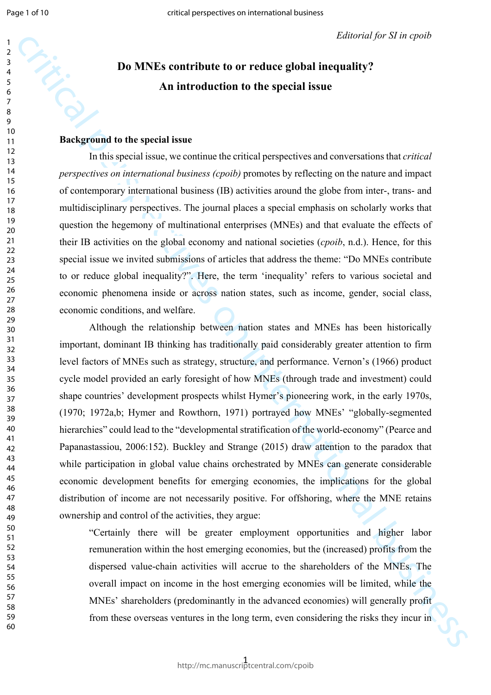## **Do MNEs contribute to or reduce global inequality? An introduction to the special issue**

## **Background to the special issue**

In this special issue, we continue the critical perspectives and conversations that *critical perspectives on international business (cpoib)* promotes by reflecting on the nature and impact of contemporary international business (IB) activities around the globe from inter-, trans- and multidisciplinary perspectives. The journal places a special emphasis on scholarly works that question the hegemony of multinational enterprises (MNEs) and that evaluate the effects of their IB activities on the global economy and national societies (*cpoib*, n.d.). Hence, for this special issue we invited submissions of articles that address the theme: "Do MNEs contribute to or reduce global inequality?". Here, the term 'inequality' refers to various societal and economic phenomena inside or across nation states, such as income, gender, social class, economic conditions, and welfare.

**Example 18**<br> **Example 3 Contribute to or reduce global inequality?**<br> **An introduction to the special issue**<br> **An introduction to the special issue**<br> **Exactly consider the section of the special issue**<br> **Exactly conside** Although the relationship between nation states and MNEs has been historically important, dominant IB thinking has traditionally paid considerably greater attention to firm level factors of MNEs such as strategy, structure, and performance. Vernon's (1966) product cycle model provided an early foresight of how MNEs (through trade and investment) could shape countries' development prospects whilst Hymer's pioneering work, in the early 1970s, (1970; 1972a,b; Hymer and Rowthorn, 1971) portrayed how MNEs' "globally-segmented hierarchies" could lead to the "developmental stratification of the world-economy" (Pearce and Papanastassiou, 2006:152). Buckley and Strange (2015) draw attention to the paradox that while participation in global value chains orchestrated by MNEs can generate considerable economic development benefits for emerging economies, the implications for the global distribution of income are not necessarily positive. For offshoring, where the MNE retains ownership and control of the activities, they argue:

"Certainly there will be greater employment opportunities and higher labor remuneration within the host emerging economies, but the (increased) profits from the dispersed value-chain activities will accrue to the shareholders of the MNEs. The overall impact on income in the host emerging economies will be limited, while the MNEs' shareholders (predominantly in the advanced economies) will generally profit from these overseas ventures in the long term, even considering the risks they incur in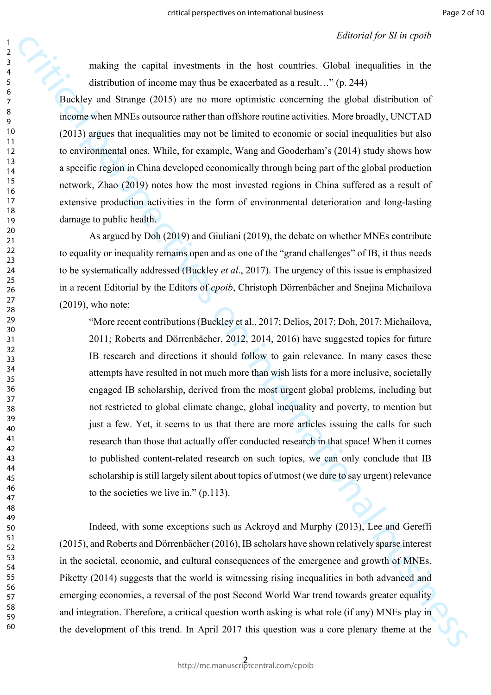making the capital investments in the host countries. Global inequalities in the distribution of income may thus be exacerbated as a result…" (p. 244)

Buckley and Strange (2015) are no more optimistic concerning the global distribution of income when MNEs outsource rather than offshore routine activities. More broadly, UNCTAD (2013) argues that inequalities may not be limited to economic or social inequalities but also to environmental ones. While, for example, Wang and Gooderham's (2014) study shows how a specific region in China developed economically through being part of the global production network, Zhao (2019) notes how the most invested regions in China suffered as a result of extensive production activities in the form of environmental deterioration and long-lasting damage to public health.

As argued by Doh (2019) and Giuliani (2019), the debate on whether MNEs contribute to equality or inequality remains open and as one of the "grand challenges" of IB, it thus needs to be systematically addressed (Buckley *et al*., 2017). The urgency of this issue is emphasized in a recent Editorial by the Editors of *cpoib*, Christoph Dörrenbächer and Snejina Michailova (2019), who note:

ranking the captal investments in the heat sametias. Coloration capacities of the distribution of facebors any that be exactly<br>one of the distribution of the distribution of the distribution of the<br>distribution of this de "More recent contributions (Buckley et al., 2017; Delios, 2017; Doh, 2017; Michailova, 2011; Roberts and Dörrenbächer, 2012, 2014, 2016) have suggested topics for future IB research and directions it should follow to gain relevance. In many cases these attempts have resulted in not much more than wish lists for a more inclusive, societally engaged IB scholarship, derived from the most urgent global problems, including but not restricted to global climate change, global inequality and poverty, to mention but just a few. Yet, it seems to us that there are more articles issuing the calls for such research than those that actually offer conducted research in that space! When it comes to published content-related research on such topics, we can only conclude that IB scholarship is still largely silent about topics of utmost (we dare to say urgent) relevance to the societies we live in." (p.113).

Indeed, with some exceptions such as Ackroyd and Murphy (2013), Lee and Gereffi (2015), and Roberts and Dörrenbächer (2016), IB scholars have shown relatively sparse interest in the societal, economic, and cultural consequences of the emergence and growth of MNEs. Piketty (2014) suggests that the world is witnessing rising inequalities in both advanced and emerging economies, a reversal of the post Second World War trend towards greater equality and integration. Therefore, a critical question worth asking is what role (if any) MNEs play in the development of this trend. In April 2017 this question was a core plenary theme at the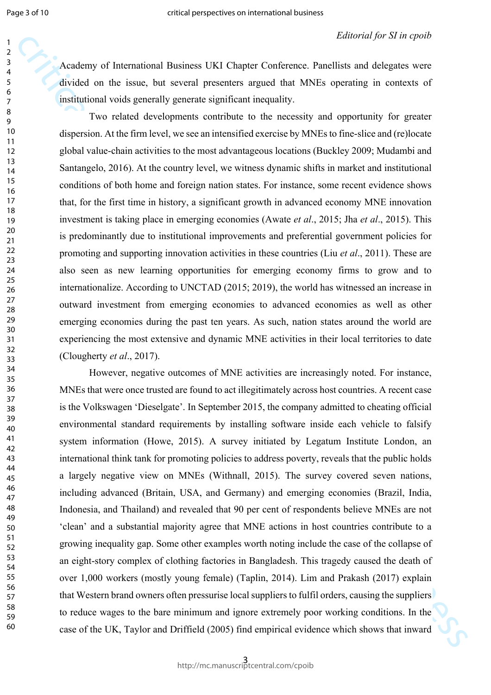Academy of International Business UKI Chapter Conference. Panellists and delegates were divided on the issue, but several presenters argued that MNEs operating in contexts of institutional voids generally generate significant inequality.

Two related developments contribute to the necessity and opportunity for greater dispersion. At the firm level, we see an intensified exercise by MNEs to fine-slice and (re)locate global value-chain activities to the most advantageous locations (Buckley 2009; Mudambi and Santangelo, 2016). At the country level, we witness dynamic shifts in market and institutional conditions of both home and foreign nation states. For instance, some recent evidence shows that, for the first time in history, a significant growth in advanced economy MNE innovation investment is taking place in emerging economies (Awate *et al*., 2015; Jha *et al*., 2015). This is predominantly due to institutional improvements and preferential government policies for promoting and supporting innovation activities in these countries (Liu *et al*., 2011). These are also seen as new learning opportunities for emerging economy firms to grow and to internationalize. According to UNCTAD (2015; 2019), the world has witnessed an increase in outward investment from emerging economies to advanced economies as well as other emerging economies during the past ten years. As such, nation states around the world are experiencing the most extensive and dynamic MNE activities in their local territories to date (Clougherty *et al*., 2017).

Academy of International Hasiness DK Cluquet Conference Particles and depeates on the minimizary of the state of the minimizary of the minimizary of the minimizary of the minimizary of the minimizary of the system of the However, negative outcomes of MNE activities are increasingly noted. For instance, MNEs that were once trusted are found to act illegitimately across host countries. A recent case is the Volkswagen 'Dieselgate'. In September 2015, the company admitted to cheating official environmental standard requirements by installing software inside each vehicle to falsify system information (Howe, 2015). A survey initiated by Legatum Institute London, an international think tank for promoting policies to address poverty, reveals that the public holds a largely negative view on MNEs (Withnall, 2015). The survey covered seven nations, including advanced (Britain, USA, and Germany) and emerging economies (Brazil, India, Indonesia, and Thailand) and revealed that 90 per cent of respondents believe MNEs are not 'clean' and a substantial majority agree that MNE actions in host countries contribute to a growing inequality gap. Some other examples worth noting include the case of the collapse of an eight-story complex of clothing factories in Bangladesh. This tragedy caused the death of over 1,000 workers (mostly young female) (Taplin, 2014). Lim and Prakash (2017) explain that Western brand owners often pressurise local suppliers to fulfil orders, causing the suppliers to reduce wages to the bare minimum and ignore extremely poor working conditions. In the case of the UK, Taylor and Driffield (2005) find empirical evidence which shows that inward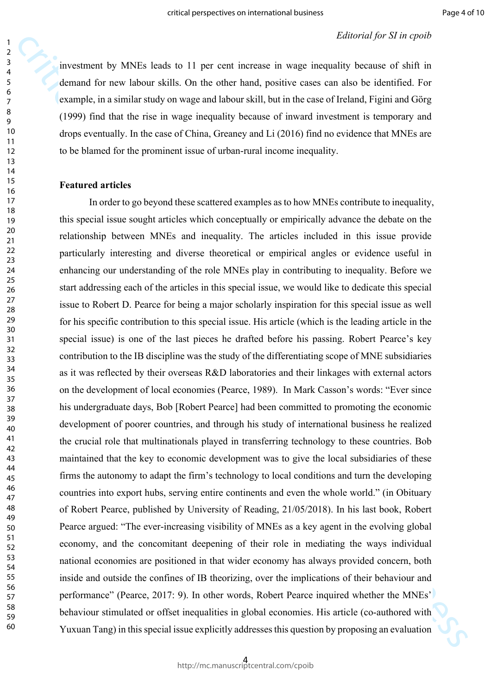investment by MNEs leads to 11 per cent increase in wage inequality because of shift in demand for new labour skills. On the other hand, positive cases can also be identified. For example, in a similar study on wage and labour skill, but in the case of Ireland, Figini and Görg (1999) find that the rise in wage inequality because of inward investment is temporary and drops eventually. In the case of China, Greaney and Li (2016) find no evidence that MNEs are to be blamed for the prominent issue of urban-rural income inequality.

### **Featured articles**

anomation of NVI<sub>2</sub>, leads to 11 per cent increase in wage imaginas parama (*S* and *quotien*)<br>demand for new labour sixtly. On the ether hand, positive cause can also be identified. For<br>example, in a similar sizely on wa In order to go beyond these scattered examples as to how MNEs contribute to inequality, this special issue sought articles which conceptually or empirically advance the debate on the relationship between MNEs and inequality. The articles included in this issue provide particularly interesting and diverse theoretical or empirical angles or evidence useful in enhancing our understanding of the role MNEs play in contributing to inequality. Before we start addressing each of the articles in this special issue, we would like to dedicate this special issue to Robert D. Pearce for being a major scholarly inspiration for this special issue as well for his specific contribution to this special issue. His article (which is the leading article in the special issue) is one of the last pieces he drafted before his passing. Robert Pearce's key contribution to the IB discipline was the study of the differentiating scope of MNE subsidiaries as it was reflected by their overseas R&D laboratories and their linkages with external actors on the development of local economies (Pearce, 1989). In Mark Casson's words: "Ever since his undergraduate days, Bob [Robert Pearce] had been committed to promoting the economic development of poorer countries, and through his study of international business he realized the crucial role that multinationals played in transferring technology to these countries. Bob maintained that the key to economic development was to give the local subsidiaries of these firms the autonomy to adapt the firm's technology to local conditions and turn the developing countries into export hubs, serving entire continents and even the whole world." (in Obituary of Robert Pearce, published by University of Reading, 21/05/2018). In his last book, Robert Pearce argued: "The ever-increasing visibility of MNEs as a key agent in the evolving global economy, and the concomitant deepening of their role in mediating the ways individual national economies are positioned in that wider economy has always provided concern, both inside and outside the confines of IB theorizing, over the implications of their behaviour and performance" (Pearce, 2017: 9). In other words, Robert Pearce inquired whether the MNEs' behaviour stimulated or offset inequalities in global economies. His article (co-authored with Yuxuan Tang) in this special issue explicitly addresses this question by proposing an evaluation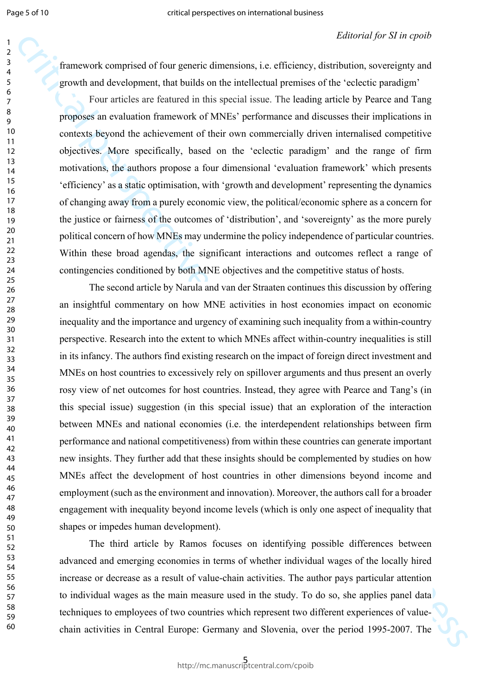framework comprised of four generic dimensions, i.e. efficiency, distribution, sovereignty and growth and development, that builds on the intellectual premises of the 'eclectic paradigm'

Four articles are featured in this special issue. The leading article by Pearce and Tang proposes an evaluation framework of MNEs' performance and discusses their implications in contexts beyond the achievement of their own commercially driven internalised competitive objectives. More specifically, based on the 'eclectic paradigm' and the range of firm motivations, the authors propose a four dimensional 'evaluation framework' which presents 'efficiency' as a static optimisation, with 'growth and development' representing the dynamics of changing away from a purely economic view, the political/economic sphere as a concern for the justice or fairness of the outcomes of 'distribution', and 'sovereignty' as the more purely political concern of how MNEs may undermine the policy independence of particular countries. Within these broad agendas, the significant interactions and outcomes reflect a range of contingencies conditioned by both MNE objectives and the competitive status of hosts.

Entropolical of four generic dimensions, i.e. of ficency, dimensional perspectives of the section and perspective of the section perspectives of the section perspectives on the section and the section and the section of t The second article by Narula and van der Straaten continues this discussion by offering an insightful commentary on how MNE activities in host economies impact on economic inequality and the importance and urgency of examining such inequality from a within-country perspective. Research into the extent to which MNEs affect within-country inequalities is still in its infancy. The authors find existing research on the impact of foreign direct investment and MNEs on host countries to excessively rely on spillover arguments and thus present an overly rosy view of net outcomes for host countries. Instead, they agree with Pearce and Tang's (in this special issue) suggestion (in this special issue) that an exploration of the interaction between MNEs and national economies (i.e. the interdependent relationships between firm performance and national competitiveness) from within these countries can generate important new insights. They further add that these insights should be complemented by studies on how MNEs affect the development of host countries in other dimensions beyond income and employment (such as the environment and innovation). Moreover, the authors call for a broader engagement with inequality beyond income levels (which is only one aspect of inequality that shapes or impedes human development).

The third article by Ramos focuses on identifying possible differences between advanced and emerging economies in terms of whether individual wages of the locally hired increase or decrease as a result of value-chain activities. The author pays particular attention to individual wages as the main measure used in the study. To do so, she applies panel data techniques to employees of two countries which represent two different experiences of valuechain activities in Central Europe: Germany and Slovenia, over the period 1995-2007. The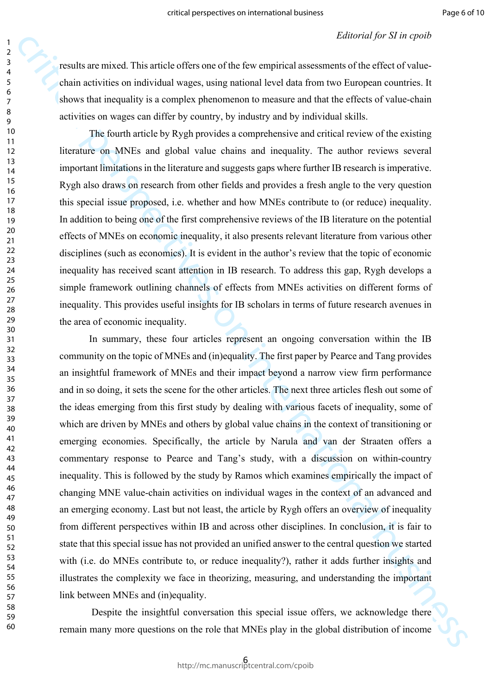results are mixed. This article offers one of the few empirical assessments of the effect of valuechain activities on individual wages, using national level data from two European countries. It shows that inequality is a complex phenomenon to measure and that the effects of value-chain activities on wages can differ by country, by industry and by individual skills.

The fourth article by Rygh provides a comprehensive and critical review of the existing literature on MNEs and global value chains and inequality. The author reviews several important limitations in the literature and suggests gaps where further IB research is imperative. Rygh also draws on research from other fields and provides a fresh angle to the very question this special issue proposed, i.e. whether and how MNEs contribute to (or reduce) inequality. In addition to being one of the first comprehensive reviews of the IB literature on the potential effects of MNEs on economic inequality, it also presents relevant literature from various other disciplines (such as economics). It is evident in the author's review that the topic of economic inequality has received scant attention in IB research. To address this gap, Rygh develops a simple framework outlining channels of effects from MNEs activities on different forms of inequality. This provides useful insights for IB scholars in terms of future research avenues in the area of economic inequality.

escalar accurates this anticle of feat some of the frie terreprins) associated (or an operator and solid anticles). It shows that incumelize the internal business of the internal business of the internal business of the i In summary, these four articles represent an ongoing conversation within the IB community on the topic of MNEs and (in)equality. The first paper by Pearce and Tang provides an insightful framework of MNEs and their impact beyond a narrow view firm performance and in so doing, it sets the scene for the other articles. The next three articles flesh out some of the ideas emerging from this first study by dealing with various facets of inequality, some of which are driven by MNEs and others by global value chains in the context of transitioning or emerging economies. Specifically, the article by Narula and van der Straaten offers a commentary response to Pearce and Tang's study, with a discussion on within-country inequality. This is followed by the study by Ramos which examines empirically the impact of changing MNE value-chain activities on individual wages in the context of an advanced and an emerging economy. Last but not least, the article by Rygh offers an overview of inequality from different perspectives within IB and across other disciplines. In conclusion, it is fair to state that this special issue has not provided an unified answer to the central question we started with (i.e. do MNEs contribute to, or reduce inequality?), rather it adds further insights and illustrates the complexity we face in theorizing, measuring, and understanding the important link between MNEs and (in)equality.

 Despite the insightful conversation this special issue offers, we acknowledge there remain many more questions on the role that MNEs play in the global distribution of income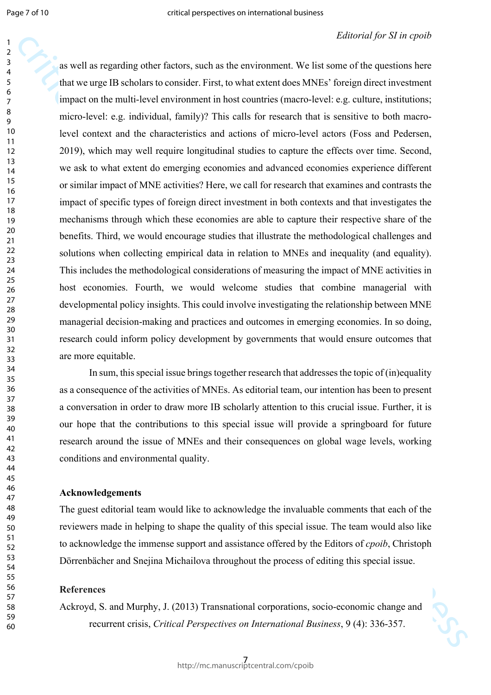#### *Editorial for SI in cpoib*

as well as regarding other factors, such as the corrunnent. We list such as the controller and the controller and the controller and the controller and the such as the controller and the such as the controller of the such as well as regarding other factors, such as the environment. We list some of the questions here that we urge IB scholars to consider. First, to what extent does MNEs' foreign direct investment impact on the multi-level environment in host countries (macro-level: e.g. culture, institutions; micro-level: e.g. individual, family)? This calls for research that is sensitive to both macrolevel context and the characteristics and actions of micro-level actors (Foss and Pedersen, 2019), which may well require longitudinal studies to capture the effects over time. Second, we ask to what extent do emerging economies and advanced economies experience different or similar impact of MNE activities? Here, we call for research that examines and contrasts the impact of specific types of foreign direct investment in both contexts and that investigates the mechanisms through which these economies are able to capture their respective share of the benefits. Third, we would encourage studies that illustrate the methodological challenges and solutions when collecting empirical data in relation to MNEs and inequality (and equality). This includes the methodological considerations of measuring the impact of MNE activities in host economies. Fourth, we would welcome studies that combine managerial with developmental policy insights. This could involve investigating the relationship between MNE managerial decision-making and practices and outcomes in emerging economies. In so doing, research could inform policy development by governments that would ensure outcomes that are more equitable.

In sum, this special issue brings together research that addresses the topic of (in)equality as a consequence of the activities of MNEs. As editorial team, our intention has been to present a conversation in order to draw more IB scholarly attention to this crucial issue. Further, it is our hope that the contributions to this special issue will provide a springboard for future research around the issue of MNEs and their consequences on global wage levels, working conditions and environmental quality.

#### **Acknowledgements**

The guest editorial team would like to acknowledge the invaluable comments that each of the reviewers made in helping to shape the quality of this special issue. The team would also like to acknowledge the immense support and assistance offered by the Editors of *cpoib*, Christoph Dörrenbächer and Snejina Michailova throughout the process of editing this special issue.

#### **References**

Ackroyd, S. and Murphy, J. (2013) Transnational corporations, socio-economic change and recurrent crisis, *Critical Perspectives on International Business*, 9 (4): 336-357.

$$
\mathcal{S}_{\mathcal{C}}^{\mathcal{S}}
$$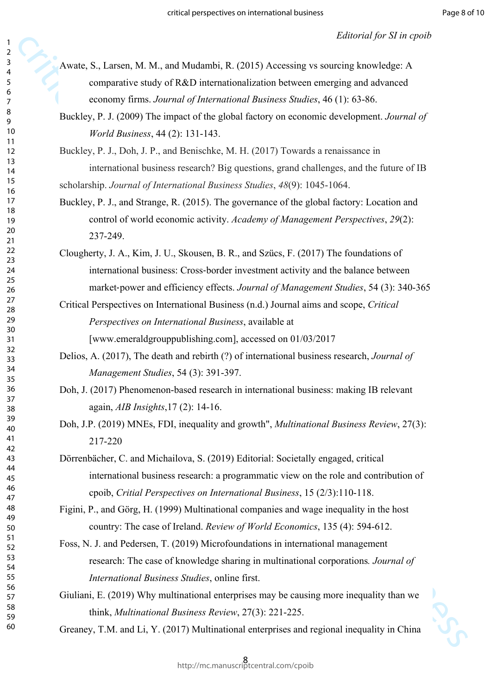- Awate, S., Larsen, M. M., and Mudambi, R. (2015) Accessing vs sourcing knowledge: A comparative study of R&D internationalization between emerging and advanced economy firms. *Journal of International Business Studies*, 46 (1): 63-86.
- Buckley, P. J. (2009) The impact of the global factory on economic development. *Journal of World Business*, 44 (2): 131-143.

Buckley, P. J., Doh, J. P., and Benischke, M. H. (2017) Towards a renaissance in international business research? Big questions, grand challenges, and the future of IB scholarship. *Journal of International Business Studies*, *48*(9): 1045-1064.

- Buckley, P. J., and Strange, R. (2015). The governance of the global factory: Location and control of world economic activity. *Academy of Management Perspectives*, *29*(2): 237-249.
- **Example 19.**<br>
Avoids, S. I arease, M. M., and Mathemin, R. (2013) Accessing ves materialge land<br>
computative study of RAD international international business of a single<br>
computative study of RAD international functions Clougherty, J. A., Kim, J. U., Skousen, B. R., and Szücs, F. (2017) The foundations of international business: Cross‐border investment activity and the balance between market‐power and efficiency effects. *Journal of Management Studies*, 54 (3): 340-365
	- Critical Perspectives on International Business (n.d.) Journal aims and scope, *Critical Perspectives on International Business*, available at [www.emeraldgrouppublishing.com], accessed on 01/03/2017
	- Delios, A. (2017), The death and rebirth (?) of international business research, *Journal of Management Studies*, 54 (3): 391-397.
	- Doh, J. (2017) Phenomenon-based research in international business: making IB relevant again, *AIB Insights*,17 (2): 14-16.
	- Doh, J.P. (2019) MNEs, FDI, inequality and growth", *Multinational Business Review*, 27(3): 217-220
	- Dörrenbächer, C. and Michailova, S. (2019) Editorial: Societally engaged, critical international business research: a programmatic view on the role and contribution of cpoib, *Critial Perspectives on International Business*, 15 (2/3):110-118.

Figini, P., and Görg, H. (1999) Multinational companies and wage inequality in the host country: The case of Ireland. *Review of World Economics*, 135 (4): 594-612.

- Foss, N. J. and Pedersen, T. (2019) Microfoundations in international management research: The case of knowledge sharing in multinational corporations*. Journal of International Business Studies*, online first.
- Giuliani, E. (2019) Why multinational enterprises may be causing more inequality than we think, *Multinational Business Review*, 27(3): 221-225.

Greaney, T.M. and Li, Y. (2017) Multinational enterprises and regional inequality in China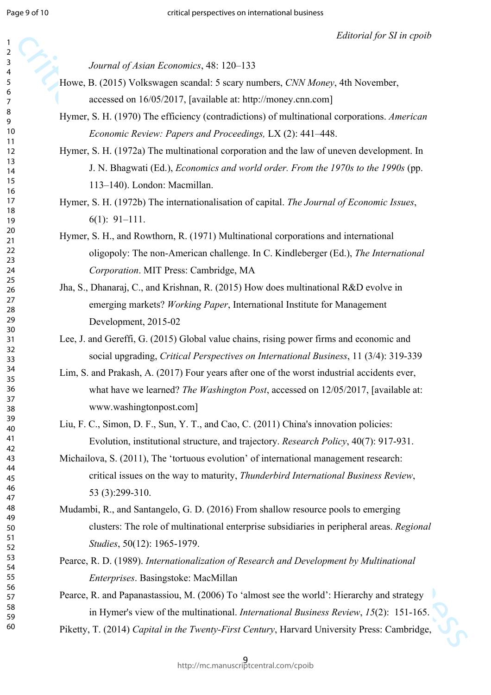| 2                                         |  |
|-------------------------------------------|--|
|                                           |  |
| ξ                                         |  |
| 4                                         |  |
|                                           |  |
| 5                                         |  |
|                                           |  |
| 6                                         |  |
|                                           |  |
|                                           |  |
| 8                                         |  |
|                                           |  |
| €                                         |  |
|                                           |  |
| 10                                        |  |
| 1<br>$\mathbf{1}$                         |  |
|                                           |  |
| 1.<br>$\overline{2}$                      |  |
|                                           |  |
| 3<br>1                                    |  |
|                                           |  |
| 1<br>4                                    |  |
| 15                                        |  |
|                                           |  |
| 16                                        |  |
|                                           |  |
| 1                                         |  |
| 18                                        |  |
|                                           |  |
| 19                                        |  |
|                                           |  |
| 20                                        |  |
| $\overline{21}$                           |  |
|                                           |  |
| $\overline{2}$<br>$\overline{2}$          |  |
|                                           |  |
| $\overline{2}$<br>3                       |  |
| $\frac{24}{3}$                            |  |
|                                           |  |
| 25                                        |  |
|                                           |  |
| $\frac{26}{5}$                            |  |
|                                           |  |
| $\overline{2}$                            |  |
| $\frac{28}{3}$                            |  |
|                                           |  |
| 29                                        |  |
|                                           |  |
| 30                                        |  |
| $\overline{\textbf{3}}$                   |  |
|                                           |  |
| $\overline{\mathbf{3}}$<br>$\overline{ }$ |  |
|                                           |  |
| $\overline{\mathbf{3}}$<br>3              |  |
|                                           |  |
| 34                                        |  |
| 35                                        |  |
|                                           |  |
| 36                                        |  |
|                                           |  |
| $\frac{1}{2}$                             |  |
|                                           |  |
| 38                                        |  |
| $\frac{3}{2}$<br>J                        |  |
|                                           |  |
| 40                                        |  |
|                                           |  |
| 41                                        |  |
| 42                                        |  |
|                                           |  |
| 43                                        |  |
|                                           |  |
| 44                                        |  |
| 45                                        |  |
|                                           |  |
| 46                                        |  |
|                                           |  |
| 47                                        |  |
| 48                                        |  |
|                                           |  |
| 49                                        |  |
|                                           |  |
| 50                                        |  |
| 51                                        |  |
|                                           |  |
| 5.<br>$\overline{2}$                      |  |
|                                           |  |
| $\overline{\mathbf{5}}$<br>3              |  |
| 54                                        |  |
|                                           |  |
|                                           |  |
|                                           |  |
| 55                                        |  |
|                                           |  |
| 56                                        |  |
| 57                                        |  |
|                                           |  |
| 58                                        |  |
|                                           |  |
| 59                                        |  |
| 60                                        |  |
|                                           |  |

*Journal of Asian Economics*, 48: 120–133

- Howe, B. (2015) Volkswagen scandal: 5 scary numbers, *CNN Money*, 4th November, accessed on 16/05/2017, [available at: http://money.cnn.com]
- Hymer, S. H. (1970) The efficiency (contradictions) of multinational corporations. *American Economic Review: Papers and Proceedings,* LX (2): 441–448.
- Hymer, S. H. (1972a) The multinational corporation and the law of uneven development. In J. N. Bhagwati (Ed.), *Economics and world order. From the 1970s to the 1990s* (pp. 113–140). London: Macmillan.

Hymer, S. H. (1972b) The internationalisation of capital. *The Journal of Economic Issues*, 6(1): 91–111.

Hymer, S. H., and Rowthorn, R. (1971) Multinational corporations and international oligopoly: The non-American challenge. In C. Kindleberger (Ed.), *The International Corporation*. MIT Press: Cambridge, MA

Jha, S., Dhanaraj, C., and Krishnan, R. (2015) How does multinational R&D evolve in emerging markets? *Working Paper*, International Institute for Management Development, 2015-02

Lee, J. and Gereffi, G. (2015) Global value chains, rising power firms and economic and social upgrading, *Critical Perspectives on International Business*, 11 (3/4): 319-339

Lim, S. and Prakash, A. (2017) Four years after one of the worst industrial accidents ever, what have we learned? *The Washington Post*, accessed on 12/05/2017, [available at: www.washingtonpost.com]

Liu, F. C., Simon, D. F., Sun, Y. T., and Cao, C. (2011) China's innovation policies: Evolution, institutional structure, and trajectory. *Research Policy*, 40(7): 917-931.

Michailova, S. (2011), The 'tortuous evolution' of international management research: critical issues on the way to maturity, *Thunderbird International Business Review*, 53 (3):299-310.

*Sharmal of Astion Francomics*, 48: 120-133<br> *Sharmal of Astion Francomics*, 48: 120-133<br>
Howe, B. (2015) Volkswagen sensials 5 sturp numbers, CNV Move, 46 November,<br>
Hyrots. H. (1990) The efficiency (contradiction of mat Mudambi, R., and Santangelo, G. D. (2016) From shallow resource pools to emerging clusters: The role of multinational enterprise subsidiaries in peripheral areas. *Regional Studies*, 50(12): 1965-1979.

Pearce, R. D. (1989). *Internationalization of Research and Development by Multinational Enterprises*. Basingstoke: MacMillan

Pearce, R. and Papanastassiou, M. (2006) To 'almost see the world': Hierarchy and strategy in Hymer's view of the multinational. *International Business Review*, *15*(2): 151-165.

Piketty, T. (2014) *Capital in the Twenty-First Century*, Harvard University Press: Cambridge,